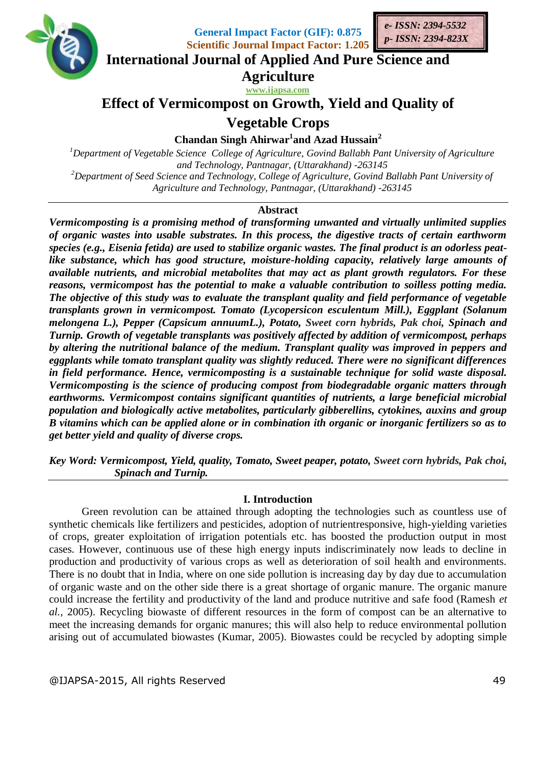

**General Impact Factor (GIF): 0.875 Scientific Journal Impact Factor: 1.205**



**International Journal of Applied And Pure Science and**

**Agriculture**

**www.ijapsa.com** 

# **Effect of Vermicompost on Growth, Yield and Quality of**

**Vegetable Crops** 

**Chandan Singh Ahirwar<sup>1</sup> and Azad Hussain<sup>2</sup>**

*<sup>1</sup>Department of Vegetable Science College of Agriculture, Govind Ballabh Pant University of Agriculture and Technology, Pantnagar, (Uttarakhand) -263145 <sup>2</sup>Department of Seed Science and Technology, College of Agriculture, Govind Ballabh Pant University of Agriculture and Technology, Pantnagar, (Uttarakhand) -263145*

## **Abstract**

*Vermicomposting is a promising method of transforming unwanted and virtually unlimited supplies of organic wastes into usable substrates. In this process, the digestive tracts of certain earthworm species (e.g., Eisenia fetida) are used to stabilize organic wastes. The final product is an odorless peatlike substance, which has good structure, moisture-holding capacity, relatively large amounts of available nutrients, and microbial metabolites that may act as plant growth regulators. For these reasons, vermicompost has the potential to make a valuable contribution to soilless potting media. The objective of this study was to evaluate the transplant quality and field performance of vegetable transplants grown in vermicompost. Tomato (Lycopersicon esculentum Mill.), Eggplant (Solanum melongena L.), Pepper (Capsicum annuumL.), Potato, Sweet corn hybrids, Pak choi, Spinach and Turnip. Growth of vegetable transplants was positively affected by addition of vermicompost, perhaps by altering the nutritional balance of the medium. Transplant quality was improved in peppers and eggplants while tomato transplant quality was slightly reduced. There were no significant differences in field performance. Hence, vermicomposting is a sustainable technique for solid waste disposal. Vermicomposting is the science of producing compost from biodegradable organic matters through earthworms. Vermicompost contains significant quantities of nutrients, a large beneficial microbial population and biologically active metabolites, particularly gibberellins, cytokines, auxins and group B vitamins which can be applied alone or in combination ith organic or inorganic fertilizers so as to get better yield and quality of diverse crops.*

*Key Word: Vermicompost, Yield, quality, Tomato, Sweet peaper, potato, Sweet corn hybrids, Pak choi, Spinach and Turnip.*

#### **I. Introduction**

Green revolution can be attained through adopting the technologies such as countless use of synthetic chemicals like fertilizers and pesticides, adoption of nutrientresponsive, high-yielding varieties of crops, greater exploitation of irrigation potentials etc. has boosted the production output in most cases. However, continuous use of these high energy inputs indiscriminately now leads to decline in production and productivity of various crops as well as deterioration of soil health and environments. There is no doubt that in India, where on one side pollution is increasing day by day due to accumulation of organic waste and on the other side there is a great shortage of organic manure. The organic manure could increase the fertility and productivity of the land and produce nutritive and safe food (Ramesh *et al.,* 2005). Recycling biowaste of different resources in the form of compost can be an alternative to meet the increasing demands for organic manures; this will also help to reduce environmental pollution arising out of accumulated biowastes (Kumar, 2005). Biowastes could be recycled by adopting simple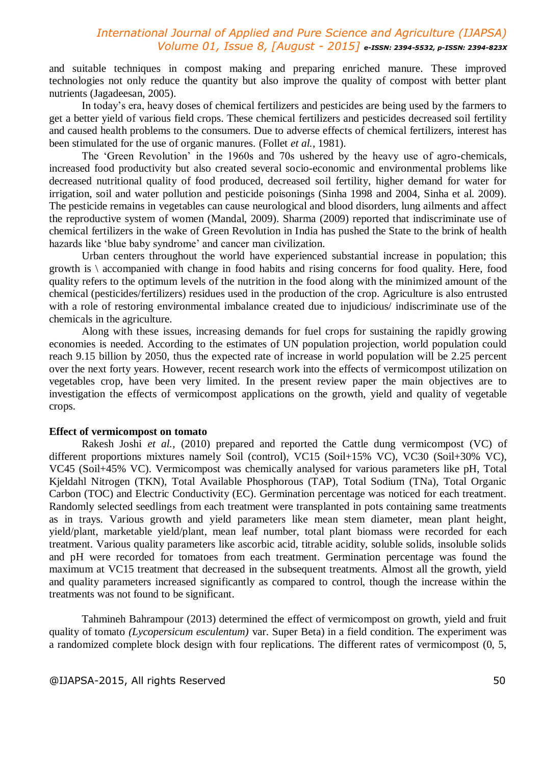and suitable techniques in compost making and preparing enriched manure. These improved technologies not only reduce the quantity but also improve the quality of compost with better plant nutrients (Jagadeesan, 2005).

In today's era, heavy doses of chemical fertilizers and pesticides are being used by the farmers to get a better yield of various field crops. These chemical fertilizers and pesticides decreased soil fertility and caused health problems to the consumers. Due to adverse effects of chemical fertilizers, interest has been stimulated for the use of organic manures. (Follet *et al.*, 1981).

The 'Green Revolution' in the 1960s and 70s ushered by the heavy use of agro-chemicals, increased food productivity but also created several socio-economic and environmental problems like decreased nutritional quality of food produced, decreased soil fertility, higher demand for water for irrigation, soil and water pollution and pesticide poisonings (Sinha 1998 and 2004, Sinha et al. 2009). The pesticide remains in vegetables can cause neurological and blood disorders, lung ailments and affect the reproductive system of women (Mandal, 2009). Sharma (2009) reported that indiscriminate use of chemical fertilizers in the wake of Green Revolution in India has pushed the State to the brink of health hazards like 'blue baby syndrome' and cancer man civilization.

Urban centers throughout the world have experienced substantial increase in population; this growth is \ accompanied with change in food habits and rising concerns for food quality. Here, food quality refers to the optimum levels of the nutrition in the food along with the minimized amount of the chemical (pesticides/fertilizers) residues used in the production of the crop. Agriculture is also entrusted with a role of restoring environmental imbalance created due to injudicious/ indiscriminate use of the chemicals in the agriculture.

Along with these issues, increasing demands for fuel crops for sustaining the rapidly growing economies is needed. According to the estimates of UN population projection, world population could reach 9.15 billion by 2050, thus the expected rate of increase in world population will be 2.25 percent over the next forty years. However, recent research work into the effects of vermicompost utilization on vegetables crop, have been very limited. In the present review paper the main objectives are to investigation the effects of vermicompost applications on the growth, yield and quality of vegetable crops.

#### **Effect of vermicompost on tomato**

Rakesh Joshi *et al.,* (2010) prepared and reported the Cattle dung vermicompost (VC) of different proportions mixtures namely Soil (control), VC15 (Soil+15% VC), VC30 (Soil+30% VC), VC45 (Soil+45% VC). Vermicompost was chemically analysed for various parameters like pH, Total Kjeldahl Nitrogen (TKN), Total Available Phosphorous (TAP), Total Sodium (TNa), Total Organic Carbon (TOC) and Electric Conductivity (EC). Germination percentage was noticed for each treatment. Randomly selected seedlings from each treatment were transplanted in pots containing same treatments as in trays. Various growth and yield parameters like mean stem diameter, mean plant height, yield/plant, marketable yield/plant, mean leaf number, total plant biomass were recorded for each treatment. Various quality parameters like ascorbic acid, titrable acidity, soluble solids, insoluble solids and pH were recorded for tomatoes from each treatment. Germination percentage was found the maximum at VC15 treatment that decreased in the subsequent treatments. Almost all the growth, yield and quality parameters increased significantly as compared to control, though the increase within the treatments was not found to be significant.

Tahmineh Bahrampour (2013) determined the effect of vermicompost on growth, yield and fruit quality of tomato *(Lycopersicum esculentum)* var. Super Beta) in a field condition. The experiment was a randomized complete block design with four replications. The different rates of vermicompost (0, 5,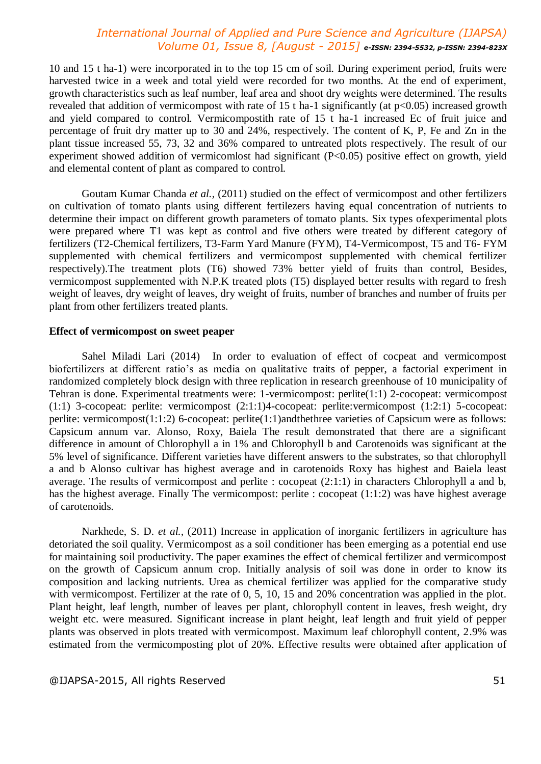10 and 15 t ha-1) were incorporated in to the top 15 cm of soil. During experiment period, fruits were harvested twice in a week and total yield were recorded for two months. At the end of experiment, growth characteristics such as leaf number, leaf area and shoot dry weights were determined. The results revealed that addition of vermicompost with rate of 15 t ha-1 significantly (at  $p<0.05$ ) increased growth and yield compared to control. Vermicompostith rate of 15 t ha-1 increased Ec of fruit juice and percentage of fruit dry matter up to 30 and 24%, respectively. The content of K, P, Fe and Zn in the plant tissue increased 55, 73, 32 and 36% compared to untreated plots respectively. The result of our experiment showed addition of vermicomlost had significant (P<0.05) positive effect on growth, yield and elemental content of plant as compared to control.

Goutam Kumar Chanda *et al.,* (2011) studied on the effect of vermicompost and other fertilizers on cultivation of tomato plants using different fertilezers having equal concentration of nutrients to determine their impact on different growth parameters of tomato plants. Six types ofexperimental plots were prepared where T1 was kept as control and five others were treated by different category of fertilizers (T2-Chemical fertilizers, T3-Farm Yard Manure (FYM), T4-Vermicompost, T5 and T6- FYM supplemented with chemical fertilizers and vermicompost supplemented with chemical fertilizer respectively).The treatment plots (T6) showed 73% better yield of fruits than control, Besides, vermicompost supplemented with N.P.K treated plots (T5) displayed better results with regard to fresh weight of leaves, dry weight of leaves, dry weight of fruits, number of branches and number of fruits per plant from other fertilizers treated plants.

#### **Effect of vermicompost on sweet peaper**

Sahel Miladi Lari (2014) In order to evaluation of effect of cocpeat and vermicompost biofertilizers at different ratio's as media on qualitative traits of pepper, a factorial experiment in randomized completely block design with three replication in research greenhouse of 10 municipality of Tehran is done. Experimental treatments were: 1-vermicompost: perlite(1:1) 2-cocopeat: vermicompost (1:1) 3-cocopeat: perlite: vermicompost (2:1:1)4-cocopeat: perlite:vermicompost (1:2:1) 5-cocopeat: perlite: vermicompost(1:1:2) 6-cocopeat: perlite(1:1)andthethree varieties of Capsicum were as follows: Capsicum annum var. Alonso, Roxy, Baiela The result demonstrated that there are a significant difference in amount of Chlorophyll a in 1% and Chlorophyll b and Carotenoids was significant at the 5% level of significance. Different varieties have different answers to the substrates, so that chlorophyll a and b Alonso cultivar has highest average and in carotenoids Roxy has highest and Baiela least average. The results of vermicompost and perlite : cocopeat (2:1:1) in characters Chlorophyll a and b, has the highest average. Finally The vermicompost: perlite : cocopeat (1:1:2) was have highest average of carotenoids.

Narkhede, S. D. *et al.,* (2011) Increase in application of inorganic fertilizers in agriculture has detoriated the soil quality. Vermicompost as a soil conditioner has been emerging as a potential end use for maintaining soil productivity. The paper examines the effect of chemical fertilizer and vermicompost on the growth of Capsicum annum crop. Initially analysis of soil was done in order to know its composition and lacking nutrients. Urea as chemical fertilizer was applied for the comparative study with vermicompost. Fertilizer at the rate of 0, 5, 10, 15 and 20% concentration was applied in the plot. Plant height, leaf length, number of leaves per plant, chlorophyll content in leaves, fresh weight, dry weight etc. were measured. Significant increase in plant height, leaf length and fruit yield of pepper plants was observed in plots treated with vermicompost. Maximum leaf chlorophyll content, 2.9% was estimated from the vermicomposting plot of 20%. Effective results were obtained after application of

#### @IJAPSA-2015, All rights Reserved 51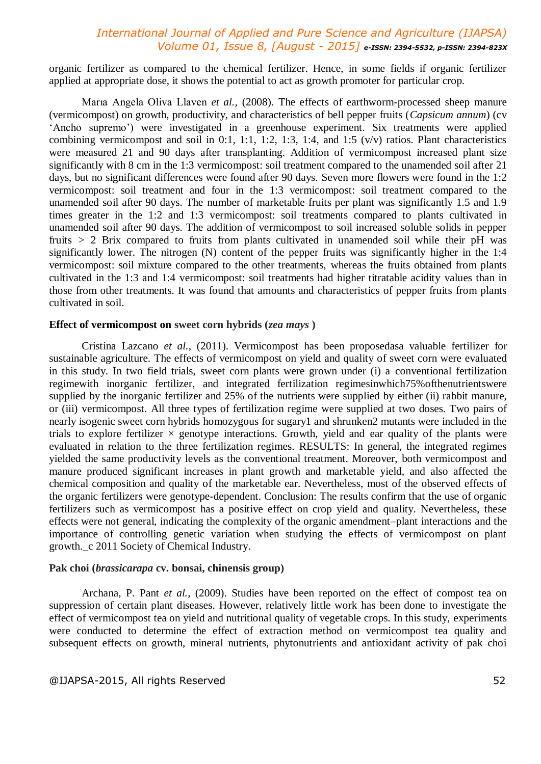organic fertilizer as compared to the chemical fertilizer. Hence, in some fields if organic fertilizer applied at appropriate dose, it shows the potential to act as growth promoter for particular crop.

Marıa Angela Oliva Llaven *et al.,* (2008). The effects of earthworm-processed sheep manure (vermicompost) on growth, productivity, and characteristics of bell pepper fruits (*Capsicum annum*) (cv 'Ancho supremo') were investigated in a greenhouse experiment. Six treatments were applied combining vermicompost and soil in 0:1, 1:1, 1:2, 1:3, 1:4, and 1:5  $(v/v)$  ratios. Plant characteristics were measured 21 and 90 days after transplanting. Addition of vermicompost increased plant size significantly with 8 cm in the 1:3 vermicompost: soil treatment compared to the unamended soil after 21 days, but no significant differences were found after 90 days. Seven more flowers were found in the 1:2 vermicompost: soil treatment and four in the 1:3 vermicompost: soil treatment compared to the unamended soil after 90 days. The number of marketable fruits per plant was significantly 1.5 and 1.9 times greater in the 1:2 and 1:3 vermicompost: soil treatments compared to plants cultivated in unamended soil after 90 days. The addition of vermicompost to soil increased soluble solids in pepper fruits *>* 2 Brix compared to fruits from plants cultivated in unamended soil while their pH was significantly lower. The nitrogen (N) content of the pepper fruits was significantly higher in the 1:4 vermicompost: soil mixture compared to the other treatments, whereas the fruits obtained from plants cultivated in the 1:3 and 1:4 vermicompost: soil treatments had higher titratable acidity values than in those from other treatments. It was found that amounts and characteristics of pepper fruits from plants cultivated in soil.

#### **Effect of vermicompost on sweet corn hybrids (***zea mays* **)**

Cristina Lazcano *et al.,* (2011). Vermicompost has been proposedasa valuable fertilizer for sustainable agriculture. The effects of vermicompost on yield and quality of sweet corn were evaluated in this study. In two field trials, sweet corn plants were grown under (i) a conventional fertilization regimewith inorganic fertilizer, and integrated fertilization regimesinwhich75%ofthenutrientswere supplied by the inorganic fertilizer and 25% of the nutrients were supplied by either (ii) rabbit manure, or (iii) vermicompost. All three types of fertilization regime were supplied at two doses. Two pairs of nearly isogenic sweet corn hybrids homozygous for sugary1 and shrunken2 mutants were included in the trials to explore fertilizer  $\times$  genotype interactions. Growth, yield and ear quality of the plants were evaluated in relation to the three fertilization regimes. RESULTS: In general, the integrated regimes yielded the same productivity levels as the conventional treatment. Moreover, both vermicompost and manure produced significant increases in plant growth and marketable yield, and also affected the chemical composition and quality of the marketable ear. Nevertheless, most of the observed effects of the organic fertilizers were genotype-dependent. Conclusion: The results confirm that the use of organic fertilizers such as vermicompost has a positive effect on crop yield and quality. Nevertheless, these effects were not general, indicating the complexity of the organic amendment–plant interactions and the importance of controlling genetic variation when studying the effects of vermicompost on plant growth.\_c 2011 Society of Chemical Industry.

#### **Pak choi (***brassicarapa* **cv. bonsai, chinensis group)**

Archana, P. Pant *et al.,* (2009). Studies have been reported on the effect of compost tea on suppression of certain plant diseases. However, relatively little work has been done to investigate the effect of vermicompost tea on yield and nutritional quality of vegetable crops. In this study, experiments were conducted to determine the effect of extraction method on vermicompost tea quality and subsequent effects on growth, mineral nutrients, phytonutrients and antioxidant activity of pak choi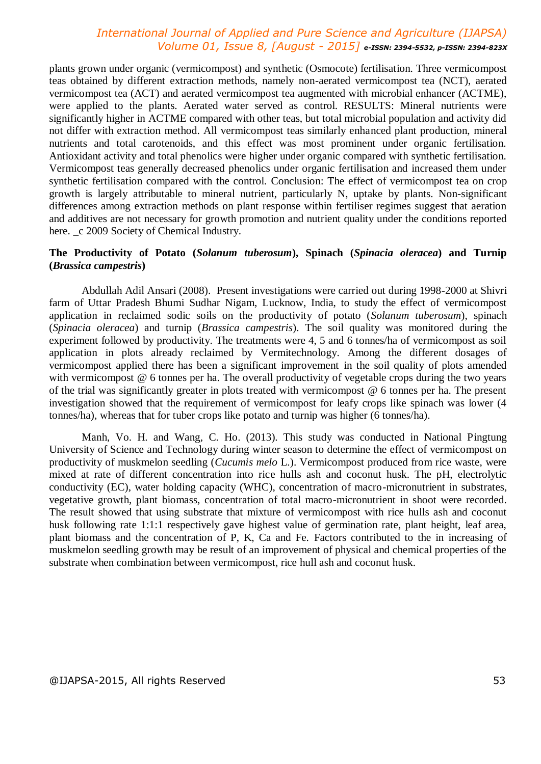plants grown under organic (vermicompost) and synthetic (Osmocote) fertilisation. Three vermicompost teas obtained by different extraction methods, namely non-aerated vermicompost tea (NCT), aerated vermicompost tea (ACT) and aerated vermicompost tea augmented with microbial enhancer (ACTME), were applied to the plants. Aerated water served as control. RESULTS: Mineral nutrients were significantly higher in ACTME compared with other teas, but total microbial population and activity did not differ with extraction method. All vermicompost teas similarly enhanced plant production, mineral nutrients and total carotenoids, and this effect was most prominent under organic fertilisation. Antioxidant activity and total phenolics were higher under organic compared with synthetic fertilisation. Vermicompost teas generally decreased phenolics under organic fertilisation and increased them under synthetic fertilisation compared with the control. Conclusion: The effect of vermicompost tea on crop growth is largely attributable to mineral nutrient, particularly N, uptake by plants. Non-significant differences among extraction methods on plant response within fertiliser regimes suggest that aeration and additives are not necessary for growth promotion and nutrient quality under the conditions reported here.  $\angle$  2009 Society of Chemical Industry.

#### **The Productivity of Potato (***Solanum tuberosum***), Spinach (***Spinacia oleracea***) and Turnip (***Brassica campestris***)**

Abdullah Adil Ansari (2008). Present investigations were carried out during 1998-2000 at Shivri farm of Uttar Pradesh Bhumi Sudhar Nigam, Lucknow, India, to study the effect of vermicompost application in reclaimed sodic soils on the productivity of potato (*Solanum tuberosum*), spinach (*Spinacia oleracea*) and turnip (*Brassica campestris*). The soil quality was monitored during the experiment followed by productivity. The treatments were 4, 5 and 6 tonnes/ha of vermicompost as soil application in plots already reclaimed by Vermitechnology. Among the different dosages of vermicompost applied there has been a significant improvement in the soil quality of plots amended with vermicompost @ 6 tonnes per ha. The overall productivity of vegetable crops during the two years of the trial was significantly greater in plots treated with vermicompost @ 6 tonnes per ha. The present investigation showed that the requirement of vermicompost for leafy crops like spinach was lower (4 tonnes/ha), whereas that for tuber crops like potato and turnip was higher (6 tonnes/ha).

Manh, Vo. H. and Wang, C. Ho. (2013). This study was conducted in National Pingtung University of Science and Technology during winter season to determine the effect of vermicompost on productivity of muskmelon seedling (*Cucumis melo* L.). Vermicompost produced from rice waste, were mixed at rate of different concentration into rice hulls ash and coconut husk. The pH, electrolytic conductivity (EC), water holding capacity (WHC), concentration of macro-micronutrient in substrates, vegetative growth, plant biomass, concentration of total macro-micronutrient in shoot were recorded. The result showed that using substrate that mixture of vermicompost with rice hulls ash and coconut husk following rate 1:1:1 respectively gave highest value of germination rate, plant height, leaf area, plant biomass and the concentration of P, K, Ca and Fe. Factors contributed to the in increasing of muskmelon seedling growth may be result of an improvement of physical and chemical properties of the substrate when combination between vermicompost, rice hull ash and coconut husk.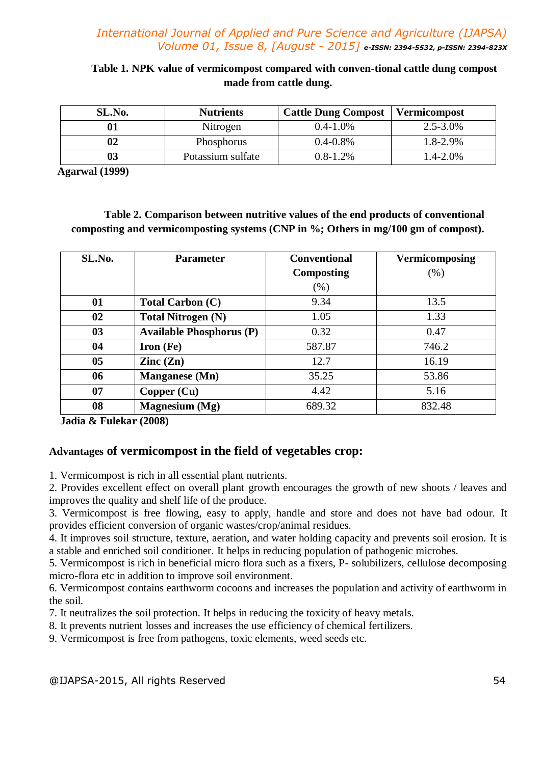**Table 1. NPK value of vermicompost compared with conven-tional cattle dung compost made from cattle dung.**

| SL.No. | <b>Nutrients</b>  | <b>Cattle Dung Compost</b> | Vermicompost  |
|--------|-------------------|----------------------------|---------------|
|        | Nitrogen          | $0.4 - 1.0\%$              | $2.5 - 3.0\%$ |
|        | Phosphorus        | $0.4 - 0.8\%$              | $1.8 - 2.9\%$ |
|        | Potassium sulfate | $0.8 - 1.2\%$              | $1.4 - 2.0\%$ |

 **Agarwal (1999)**

# **Table 2. Comparison between nutritive values of the end products of conventional composting and vermicomposting systems (CNP in %; Others in mg/100 gm of compost).**

| SL.No.         | <b>Parameter</b>                | <b>Conventional</b> | <b>Vermicomposing</b> |
|----------------|---------------------------------|---------------------|-----------------------|
|                |                                 | <b>Composting</b>   | (% )                  |
|                |                                 | (%)                 |                       |
| 01             | <b>Total Carbon (C)</b>         | 9.34                | 13.5                  |
| 02             | <b>Total Nitrogen (N)</b>       | 1.05                | 1.33                  |
| 0 <sub>3</sub> | <b>Available Phosphorus (P)</b> | 0.32                | 0.47                  |
| 04             | Iron (Fe)                       | 587.87              | 746.2                 |
| 0 <sub>5</sub> | $\text{Zinc}(\text{Zn})$        | 12.7                | 16.19                 |
| 06             | <b>Manganese</b> (Mn)           | 35.25               | 53.86                 |
| 07             | Copper (Cu)                     | 4.42                | 5.16                  |
| 08             | <b>Magnesium</b> (Mg)           | 689.32              | 832.48                |

 **Jadia & Fulekar (2008)**

# **Advantages of vermicompost in the field of vegetables crop:**

1. Vermicompost is rich in all essential plant nutrients.

2. Provides excellent effect on overall plant growth encourages the growth of new shoots / leaves and improves the quality and shelf life of the produce.

3. Vermicompost is free flowing, easy to apply, handle and store and does not have bad odour. It provides efficient conversion of organic wastes/crop/animal residues.

4. It improves soil structure, texture, aeration, and water holding capacity and prevents soil erosion. It is a stable and enriched soil conditioner. It helps in reducing population of pathogenic microbes.

5. Vermicompost is rich in beneficial micro flora such as a fixers, P- solubilizers, cellulose decomposing micro-flora etc in addition to improve soil environment.

6. Vermicompost contains earthworm cocoons and increases the population and activity of earthworm in the soil.

7. It neutralizes the soil protection. It helps in reducing the toxicity of heavy metals.

8. It prevents nutrient losses and increases the use efficiency of chemical fertilizers.

9. Vermicompost is free from pathogens, toxic elements, weed seeds etc.

@IJAPSA-2015, All rights Reserved 54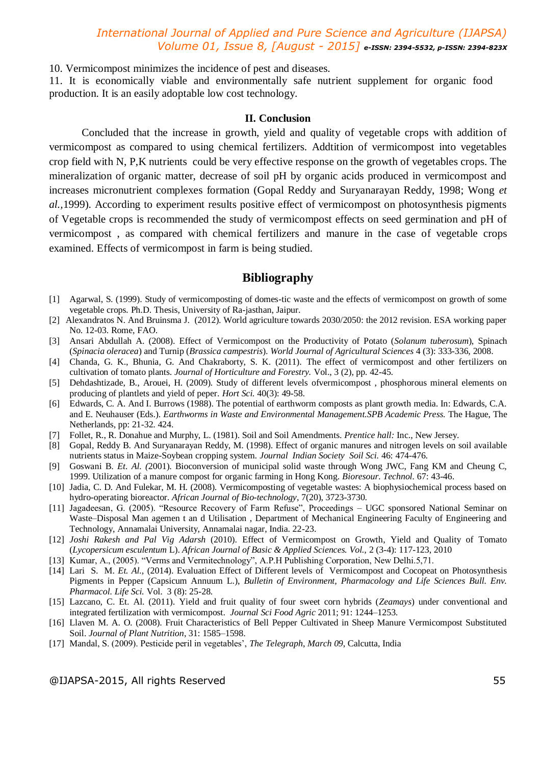10. Vermicompost minimizes the incidence of pest and diseases.

11. It is economically viable and environmentally safe nutrient supplement for organic food production. It is an easily adoptable low cost technology.

#### **II. Conclusion**

Concluded that the increase in growth, yield and quality of vegetable crops with addition of vermicompost as compared to using chemical fertilizers. Addtition of vermicompost into vegetables crop field with N, P,K nutrients could be very effective response on the growth of vegetables crops. The mineralization of organic matter, decrease of soil pH by organic acids produced in vermicompost and increases micronutrient complexes formation (Gopal Reddy and Suryanarayan Reddy, 1998; Wong *et al.,*1999). According to experiment results positive effect of vermicompost on photosynthesis pigments of Vegetable crops is recommended the study of vermicompost effects on seed germination and pH of vermicompost , as compared with chemical fertilizers and manure in the case of vegetable crops examined. Effects of vermicompost in farm is being studied.

#### **Bibliography**

- [1] Agarwal, S. (1999). Study of vermicomposting of domes-tic waste and the effects of vermicompost on growth of some vegetable crops*.* Ph.D. Thesis, University of Ra-jasthan, Jaipur.
- [2] Alexandratos N. And Bruinsma J. (2012). World agriculture towards 2030/2050: the 2012 revision. ESA working paper No. 12-03. Rome, FAO.
- [3] Ansari Abdullah A. (2008). Effect of Vermicompost on the Productivity of Potato (*Solanum tuberosum*), Spinach (*Spinacia oleracea*) and Turnip (*Brassica campestris*). *World Journal of Agricultural Sciences* 4 (3): 333-336, 2008.
- [4] Chanda, G. K., Bhunia, G. And Chakraborty, S. K. (2011). The effect of vermicompost and other fertilizers on cultivation of tomato plants. *Journal of Horticulture and Forestry.* Vol., 3 (2), pp. 42-45.
- [5] Dehdashtizade, B., Arouei, H. (2009). Study of different levels ofvermicompost , phosphorous mineral elements on producing of plantlets and yield of peper. *Hort Sci.* 40(3): 49-58.
- [6] Edwards, C. A. And I. Burrows (1988). The potential of earthworm composts as plant growth media. In: Edwards, C.A. and E. Neuhauser (Eds.). *Earthworms in Waste and Environmental Management.SPB Academic Press.* The Hague, The Netherlands, pp: 21-32. 424.
- [7] Follet, R., R. Donahue and Murphy, L. (1981). Soil and Soil Amendments. *Prentice hall:* Inc., New Jersey.
- [8] Gopal, Reddy B. And Suryanarayan Reddy, M. (1998). Effect of organic manures and nitrogen levels on soil available nutrients status in Maize-Soybean cropping system*. Journal Indian Society Soil Sci.* 46: 474-476.
- [9] Goswani B. *Et. Al. (*2001). Bioconversion of municipal solid waste through Wong JWC, Fang KM and Cheung C, 1999. Utilization of a manure compost for organic farming in Hong Kong. *Bioresour. Technol.* 67: 43-46.
- [10] Jadia, C. D. And Fulekar, M. H. (2008). Vermicomposting of vegetable wastes: A biophysiochemical process based on hydro-operating bioreactor. *African Journal of Bio-technology*, 7(20), 3723-3730.
- [11] Jagadeesan, G. (2005). "Resource Recovery of Farm Refuse", Proceedings UGC sponsored National Seminar on Waste–Disposal Man agemen t an d Utilisation , Department of Mechanical Engineering Faculty of Engineering and Technology, Annamalai University, Annamalai nagar, India. 22-23.
- [12] *Joshi Rakesh and Pal Vig Adarsh* (2010). Effect of Vermicompost on Growth, Yield and Quality of Tomato (*Lycopersicum esculentum* L). *African Journal of Basic & Applied Sciences. Vol.,* 2 (3-4): 117-123, 2010
- [13] Kumar, A., (2005). "Verms and Vermitechnology", A.P.H Publishing Corporation, New Delhi.5,71.
- [14] Lari S. M. *Et. Al.,* (2014). Evaluation Effect of Different levels of Vermicompost and Cocopeat on Photosynthesis Pigments in Pepper (Capsicum Annuum L.), *Bulletin of Environment, Pharmacology and Life Sciences Bull. Env. Pharmacol. Life Sci.* Vol. 3 (8): 25-28.
- [15] Lazcano, C. Et. Al. (2011). Yield and fruit quality of four sweet corn hybrids (*Zeamays*) under conventional and integrated fertilization with vermicompost. *Journal Sci Food Agric* 2011; 91: 1244–1253.
- [16] Llaven M. A. O. (2008). Fruit Characteristics of Bell Pepper Cultivated in Sheep Manure Vermicompost Substituted Soil. *Journal of Plant Nutrition*, 31: 1585–1598.
- [17] Mandal, S. (2009). Pesticide peril in vegetables', *The Telegraph*, *March 09*, Calcutta, India

#### @IJAPSA-2015, All rights Reserved 55